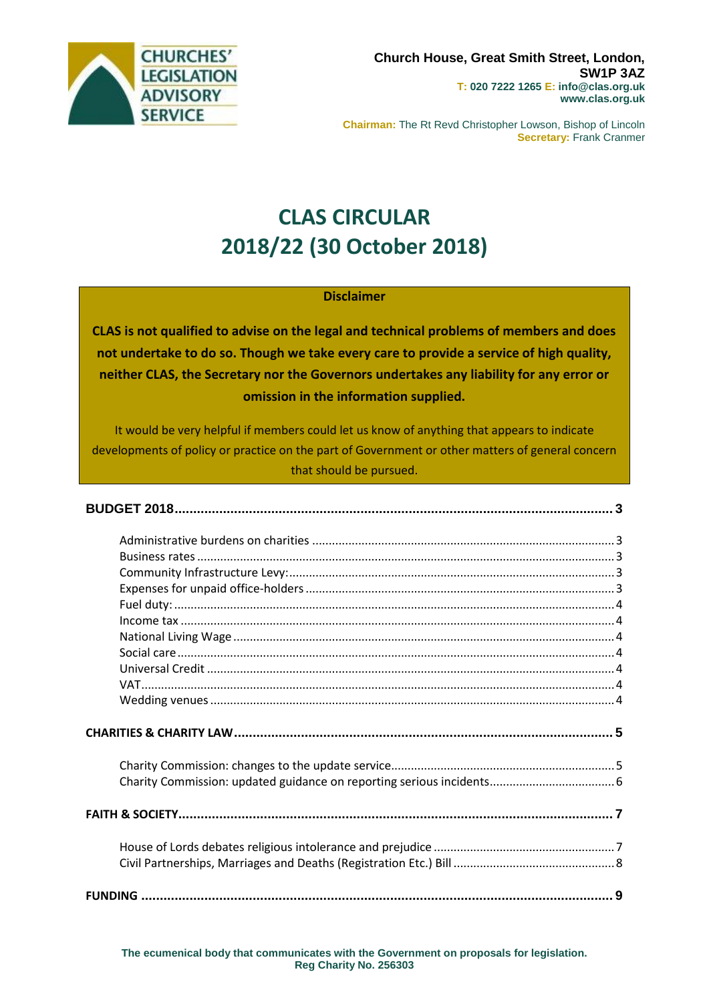

**Chairman:** The Rt Revd Christopher Lowson, Bishop of Lincoln **Secretary:** Frank Cranmer

# **CLAS CIRCULAR 2018/22 (30 October 2018)**

### **Disclaimer**

**CLAS is not qualified to advise on the legal and technical problems of members and does not undertake to do so. Though we take every care to provide a service of high quality, neither CLAS, the Secretary nor the Governors undertakes any liability for any error or omission in the information supplied.**

It would be very helpful if members could let us know of anything that appears to indicate developments of policy or practice on the part of Government or other matters of general concern that should be pursued.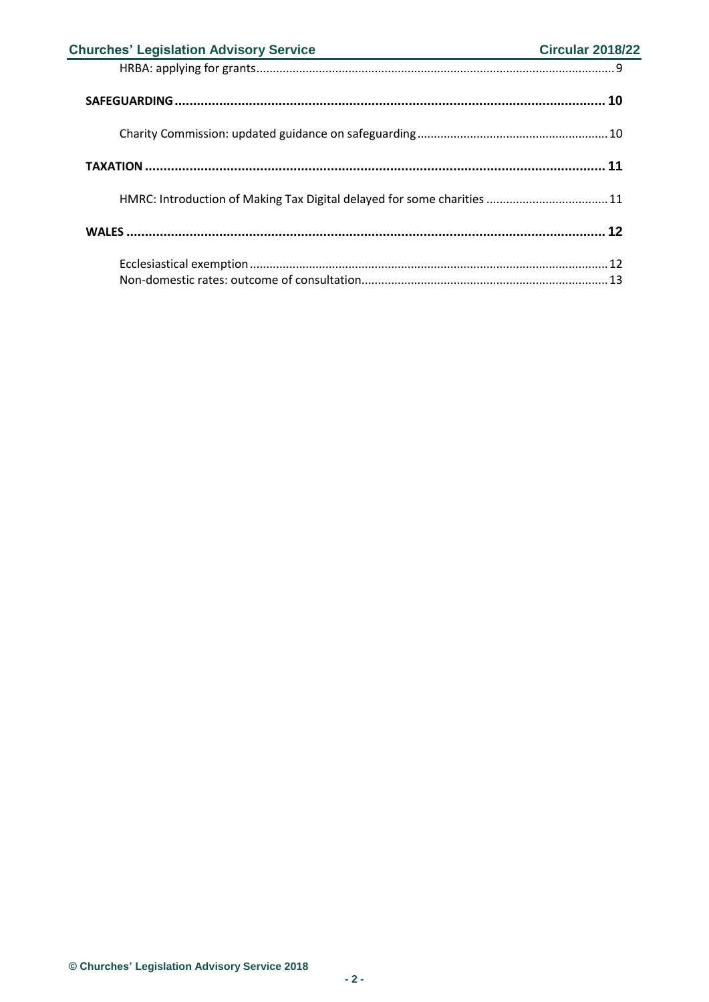| <b>Churches' Legislation Advisory Service</b>                           | <b>Circular 2018/22</b> |  |
|-------------------------------------------------------------------------|-------------------------|--|
|                                                                         |                         |  |
|                                                                         |                         |  |
|                                                                         |                         |  |
|                                                                         |                         |  |
| HMRC: Introduction of Making Tax Digital delayed for some charities  11 |                         |  |
|                                                                         |                         |  |
|                                                                         |                         |  |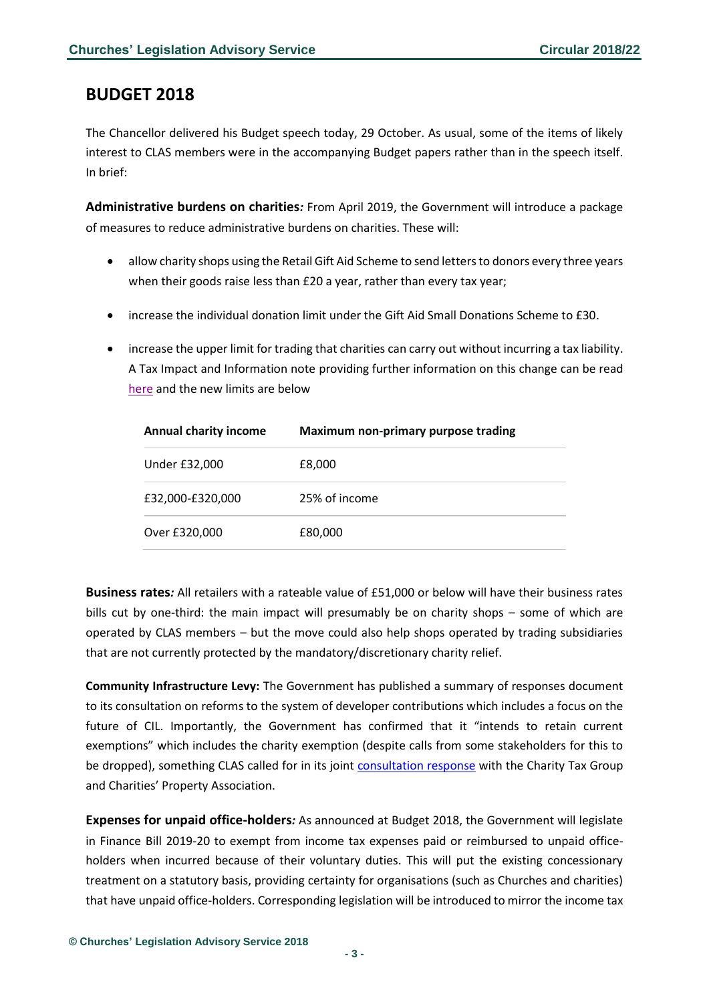# <span id="page-2-0"></span>**BUDGET 2018**

The Chancellor delivered his Budget speech today, 29 October. As usual, some of the items of likely interest to CLAS members were in the accompanying Budget papers rather than in the speech itself. In brief:

<span id="page-2-1"></span>**Administrative burdens on charities***:* From April 2019, the Government will introduce a package of measures to reduce administrative burdens on charities. These will:

- allow charity shops using the Retail Gift Aid Scheme to send letters to donors every three years when their goods raise less than £20 a year, rather than every tax year;
- increase the individual donation limit under the Gift Aid Small Donations Scheme to £30.
- increase the upper limit for trading that charities can carry out without incurring a tax liability. A Tax Impact and Information note providing further information on this change can be read [here](https://www.gov.uk/government/publications/increases-to-charities-small-trading-exemption-limits) and the new limits are below

| <b>Annual charity income</b> | Maximum non-primary purpose trading |
|------------------------------|-------------------------------------|
| Under £32,000                | £8,000                              |
| £32,000-£320,000             | 25% of income                       |
| Over £320,000                | £80,000                             |

<span id="page-2-2"></span>**Business rates***:* All retailers with a rateable value of £51,000 or below will have their business rates bills cut by one-third: the main impact will presumably be on charity shops – some of which are operated by CLAS members – but the move could also help shops operated by trading subsidiaries that are not currently protected by the mandatory/discretionary charity relief.

<span id="page-2-3"></span>**Community Infrastructure Levy:** The Government has published a summary of responses document to its consultation on reforms to the system of developer contributions which includes a focus on the future of CIL. Importantly, the Government has confirmed that it "intends to retain current exemptions" which includes the charity exemption (despite calls from some stakeholders for this to be dropped), something CLAS called for in its joint [consultation response](https://www.charitytaxgroup.org.uk/consultation/reforming-community-infrastructure-levy-cil/) with the Charity Tax Group and Charities' Property Association.

<span id="page-2-4"></span>**Expenses for unpaid office-holders***:* As announced at Budget 2018, the Government will legislate in Finance Bill 2019-20 to exempt from income tax expenses paid or reimbursed to unpaid officeholders when incurred because of their voluntary duties. This will put the existing concessionary treatment on a statutory basis, providing certainty for organisations (such as Churches and charities) that have unpaid office-holders. Corresponding legislation will be introduced to mirror the income tax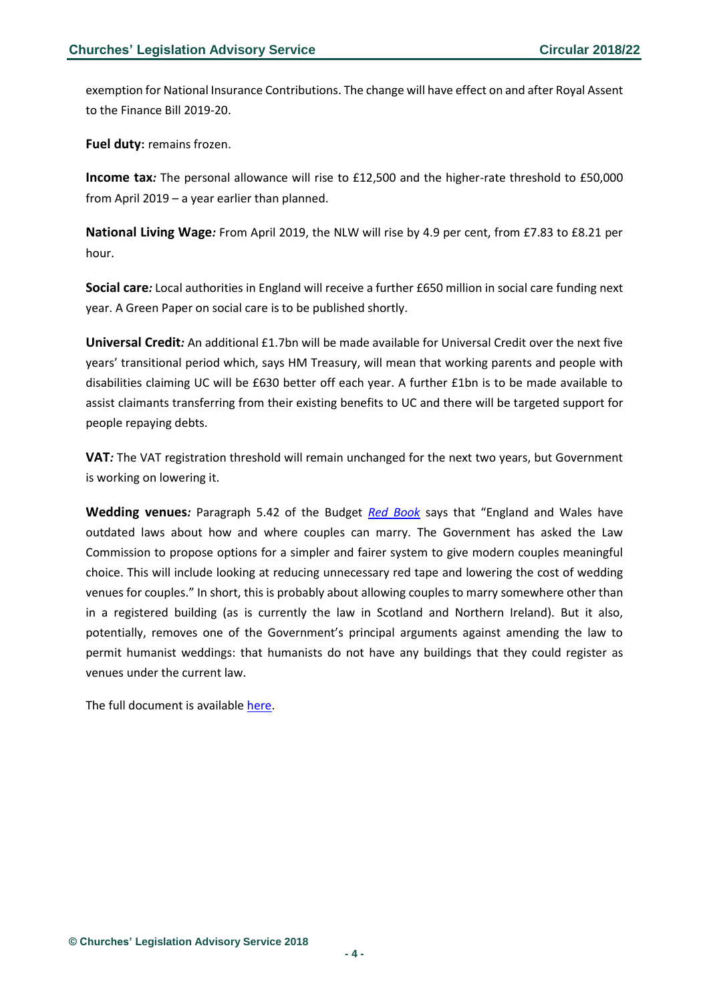exemption for National Insurance Contributions. The change will have effect on and after Royal Assent to the Finance Bill 2019-20.

<span id="page-3-0"></span>**Fuel duty:** remains frozen.

<span id="page-3-1"></span>**Income tax***:* The personal allowance will rise to £12,500 and the higher-rate threshold to £50,000 from April 2019 – a year earlier than planned.

<span id="page-3-2"></span>**National Living Wage***:* From April 2019, the NLW will rise by 4.9 per cent, from £7.83 to £8.21 per hour.

<span id="page-3-3"></span>**Social care***:* Local authorities in England will receive a further £650 million in social care funding next year. A Green Paper on social care is to be published shortly.

<span id="page-3-4"></span>**Universal Credit***:* An additional £1.7bn will be made available for Universal Credit over the next five years' transitional period which, says HM Treasury, will mean that working parents and people with disabilities claiming UC will be £630 better off each year. A further £1bn is to be made available to assist claimants transferring from their existing benefits to UC and there will be targeted support for people repaying debts.

<span id="page-3-5"></span>**VAT***:* The VAT registration threshold will remain unchanged for the next two years, but Government is working on lowering it.

<span id="page-3-6"></span>**Wedding venues***:* Paragraph 5.42 of the Budget *[Red Book](https://assets.publishing.service.gov.uk/government/uploads/system/uploads/attachment_data/file/752202/Budget_2018_red_web.pdf)* says that "England and Wales have outdated laws about how and where couples can marry. The Government has asked the Law Commission to propose options for a simpler and fairer system to give modern couples meaningful choice. This will include looking at reducing unnecessary red tape and lowering the cost of wedding venues for couples." In short, this is probably about allowing couples to marry somewhere other than in a registered building (as is currently the law in Scotland and Northern Ireland). But it also, potentially, removes one of the Government's principal arguments against amending the law to permit humanist weddings: that humanists do not have any buildings that they could register as venues under the current law.

The full document is available [here.](https://www.gov.uk/government/publications/budget-2018-documents/budget-2018)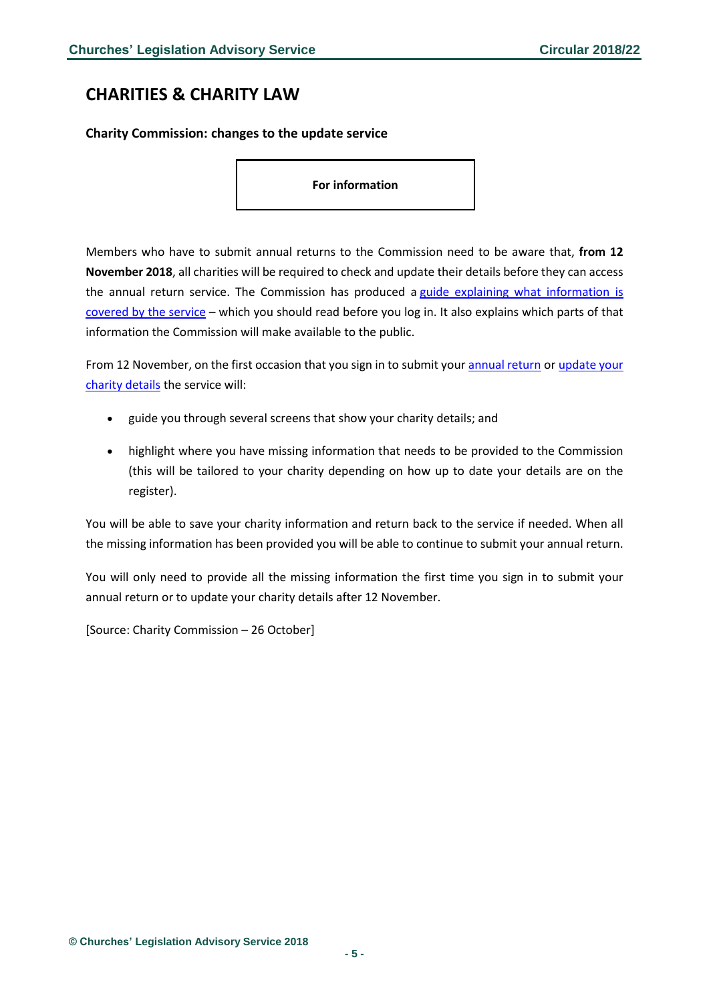# <span id="page-4-0"></span>**CHARITIES & CHARITY LAW**

<span id="page-4-1"></span>**Charity Commission: changes to the update service**

**For information**

Members who have to submit annual returns to the Commission need to be aware that, **from 12 November 2018**, all charities will be required to check and update their details before they can access the annual return service. The Commission has produced a guide explaining what [information](https://assets.publishing.service.gov.uk/government/uploads/system/uploads/attachment_data/file/750128/Update_charity_details_service_website_guide_v1.odt) is [covered](https://assets.publishing.service.gov.uk/government/uploads/system/uploads/attachment_data/file/750128/Update_charity_details_service_website_guide_v1.odt) by the service – which you should read before you log in. It also explains which parts of that information the Commission will make available to the public.

From 12 November, on the first occasion that you sign in to submit your [annual](https://www.gov.uk/send-charity-annual-return) return or [update](https://www.gov.uk/change-your-charitys-details) your [charity](https://www.gov.uk/change-your-charitys-details) details the service will:

- guide you through several screens that show your charity details; and
- highlight where you have missing information that needs to be provided to the Commission (this will be tailored to your charity depending on how up to date your details are on the register).

You will be able to save your charity information and return back to the service if needed. When all the missing information has been provided you will be able to continue to submit your annual return.

You will only need to provide all the missing information the first time you sign in to submit your annual return or to update your charity details after 12 November.

[Source: Charity Commission – 26 October]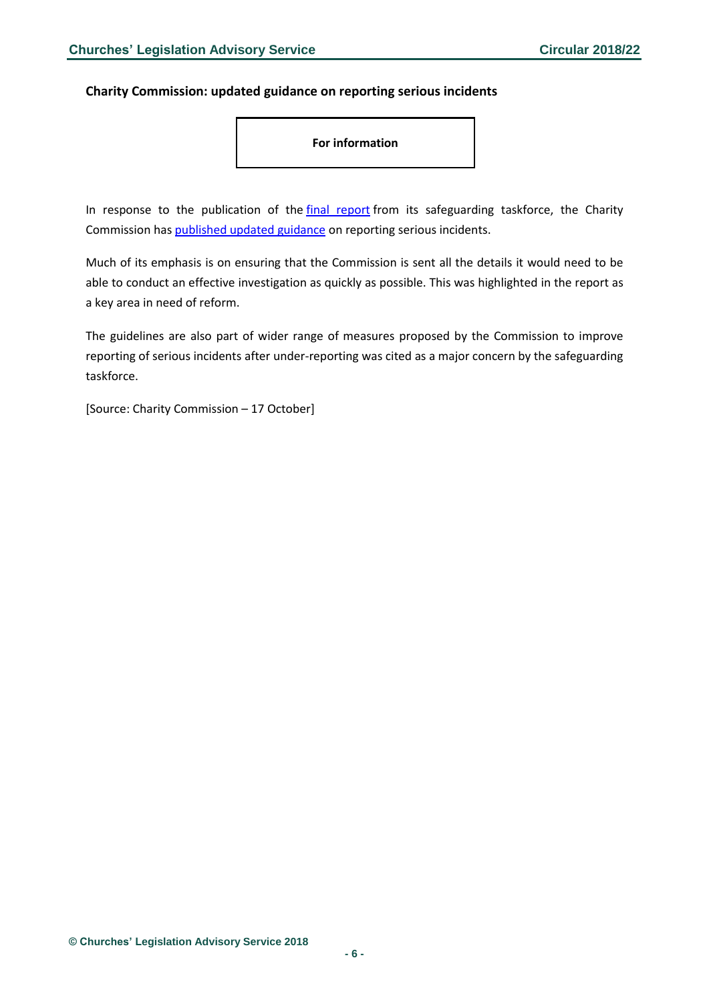### <span id="page-5-0"></span>**Charity Commission: updated guidance on reporting serious incidents**

#### **For information**

In response to the publication of the final [report](https://www.lmsconline.org/pages/article.aspx?articleID=7294) from its safeguarding taskforce, the Charity Commission has [published](https://www.gov.uk/guidance/how-to-report-a-serious-incident-in-your-charity#data-protection-confidentiality-and-data-sharing) updated guidance on reporting serious incidents.

Much of its emphasis is on ensuring that the Commission is sent all the details it would need to be able to conduct an effective investigation as quickly as possible. This was highlighted in the report as a key area in need of reform.

The guidelines are also part of wider range of measures proposed by the Commission to improve reporting of serious incidents after under-reporting was cited as a major concern by the safeguarding taskforce.

[Source: Charity Commission – 17 October]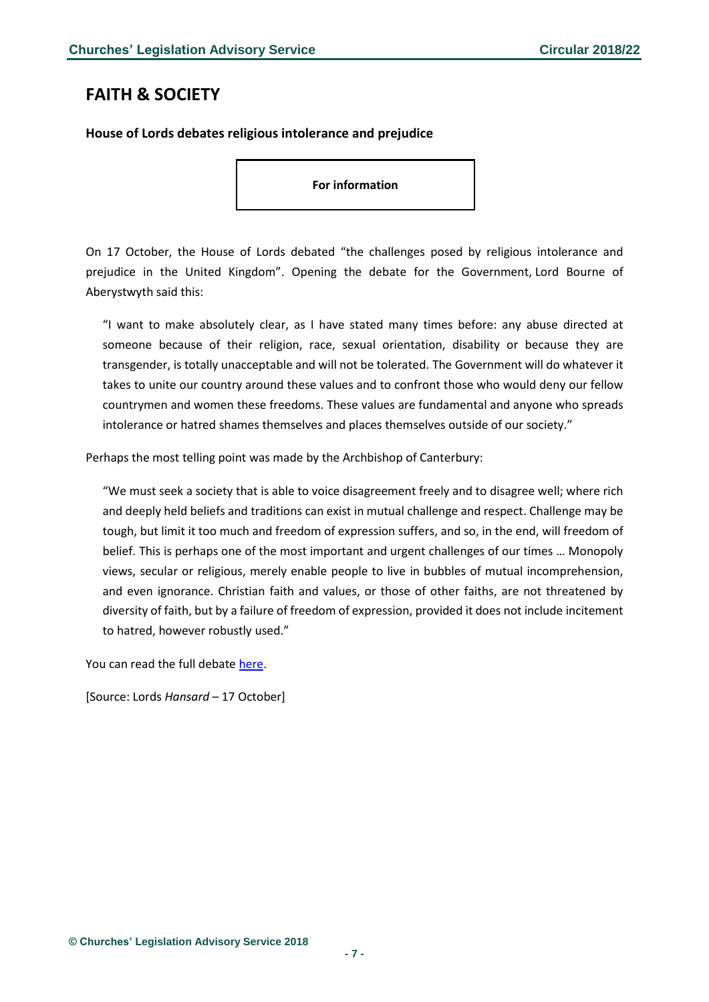# <span id="page-6-0"></span>**FAITH & SOCIETY**

<span id="page-6-1"></span>**House of Lords debates religious intolerance and prejudice**

**For information**

On 17 October, the House of Lords debated "the challenges posed by religious intolerance and prejudice in the United Kingdom". Opening the debate for the Government, Lord Bourne of Aberystwyth said this:

"I want to make absolutely clear, as I have stated many times before: any abuse directed at someone because of their religion, race, sexual orientation, disability or because they are transgender, is totally unacceptable and will not be tolerated. The Government will do whatever it takes to unite our country around these values and to confront those who would deny our fellow countrymen and women these freedoms. These values are fundamental and anyone who spreads intolerance or hatred shames themselves and places themselves outside of our society."

Perhaps the most telling point was made by the Archbishop of Canterbury:

"We must seek a society that is able to voice disagreement freely and to disagree well; where rich and deeply held beliefs and traditions can exist in mutual challenge and respect. Challenge may be tough, but limit it too much and freedom of expression suffers, and so, in the end, will freedom of belief. This is perhaps one of the most important and urgent challenges of our times … Monopoly views, secular or religious, merely enable people to live in bubbles of mutual incomprehension, and even ignorance. Christian faith and values, or those of other faiths, are not threatened by diversity of faith, but by a failure of freedom of expression, provided it does not include incitement to hatred, however robustly used."

You can read the full debate [here.](https://hansard.parliament.uk/lords/2018-10-17/debates/FC5A8FC0-FAFF-435B-B9E5-C5DBFB16465D/ReligiousIntoleranceAndPrejudice#contribution-D8FFBB5A-870F-449E-BF07-56ADB554BDC4)

[Source: Lords *Hansard* – 17 October]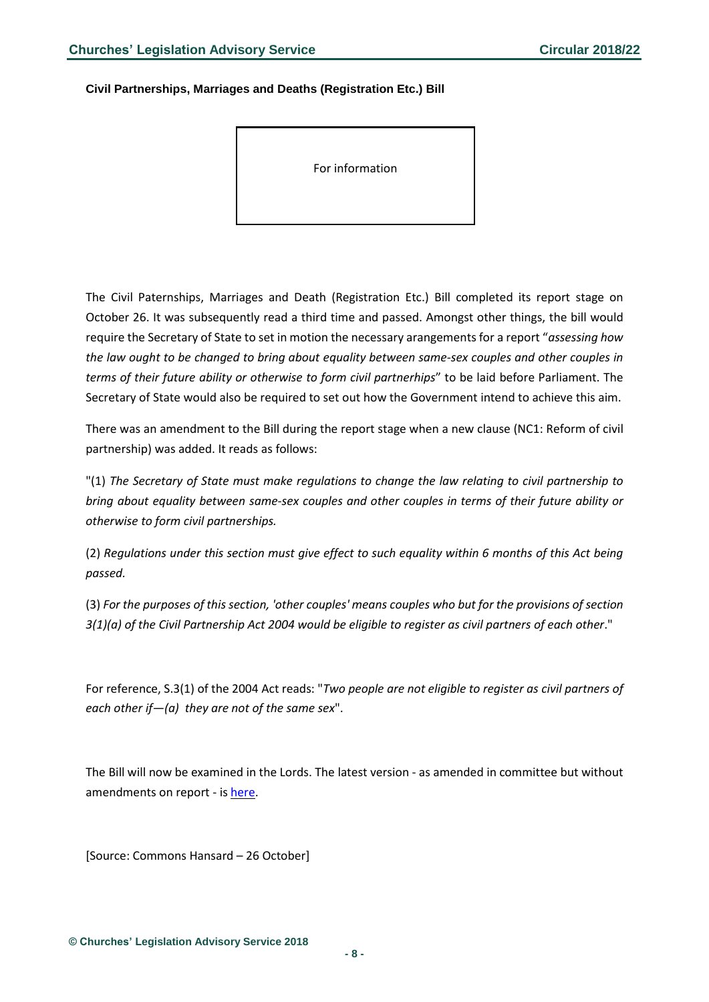#### <span id="page-7-0"></span>**Civil Partnerships, Marriages and Deaths (Registration Etc.) Bill**

For information

The Civil Paternships, Marriages and Death (Registration Etc.) Bill completed its report stage on October 26. It was subsequently read a third time and passed. Amongst other things, the bill would require the Secretary of State to set in motion the necessary arangements for a report "*assessing how the law ought to be changed to bring about equality between same-sex couples and other couples in terms of their future ability or otherwise to form civil partnerhips*" to be laid before Parliament. The Secretary of State would also be required to set out how the Government intend to achieve this aim.

There was an amendment to the Bill during the report stage when a new clause (NC1: Reform of civil partnership) was added. It reads as follows:

"(1) *The Secretary of State must make regulations to change the law relating to civil partnership to bring about equality between same-sex couples and other couples in terms of their future ability or otherwise to form civil partnerships.*

(2) *Regulations under this section must give effect to such equality within 6 months of this Act being passed.*

(3) *For the purposes of this section, 'other couples' means couples who but for the provisions of section* 3(1)(a) of the Civil Partnership Act 2004 would be eligible to register as civil partners of each other."

For reference, S.3(1) of the 2004 Act reads: "*Two people are not eligible to register as civil partners of each other if—(a) they are not of the same sex*".

The Bill will now be examined in the Lords. The latest version - as amended in committee but without amendments on report - is [here.](https://publications.parliament.uk/pa/bills/cbill/2017-2019/0254/180254.pdf)

[Source: Commons Hansard – 26 October]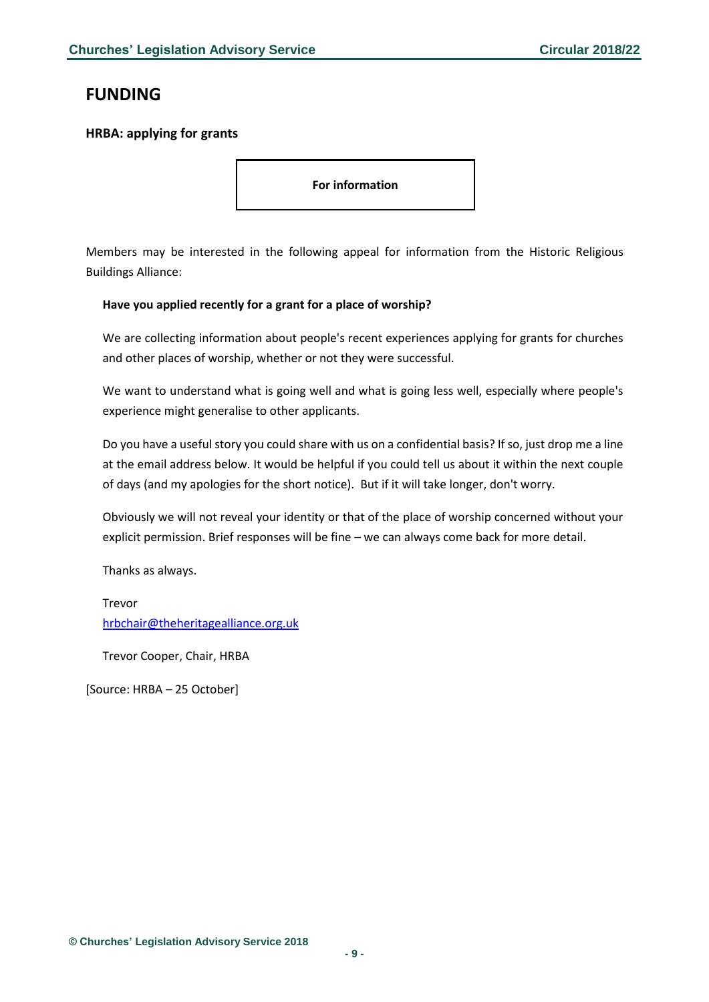# <span id="page-8-0"></span>**FUNDING**

### <span id="page-8-1"></span>**HRBA: applying for grants**

**For information**

Members may be interested in the following appeal for information from the Historic Religious Buildings Alliance:

#### **Have you applied recently for a grant for a place of worship?**

We are collecting information about people's recent experiences applying for grants for churches and other places of worship, whether or not they were successful.

We want to understand what is going well and what is going less well, especially where people's experience might generalise to other applicants.

Do you have a useful story you could share with us on a confidential basis? If so, just drop me a line at the email address below. It would be helpful if you could tell us about it within the next couple of days (and my apologies for the short notice). But if it will take longer, don't worry.

Obviously we will not reveal your identity or that of the place of worship concerned without your explicit permission. Brief responses will be fine – we can always come back for more detail.

Thanks as always.

Trevor [hrbchair@theheritagealliance.org.uk](mailto:hrbchair@theheritagealliance.org.uk)

Trevor Cooper, Chair, HRBA

[Source: HRBA – 25 October]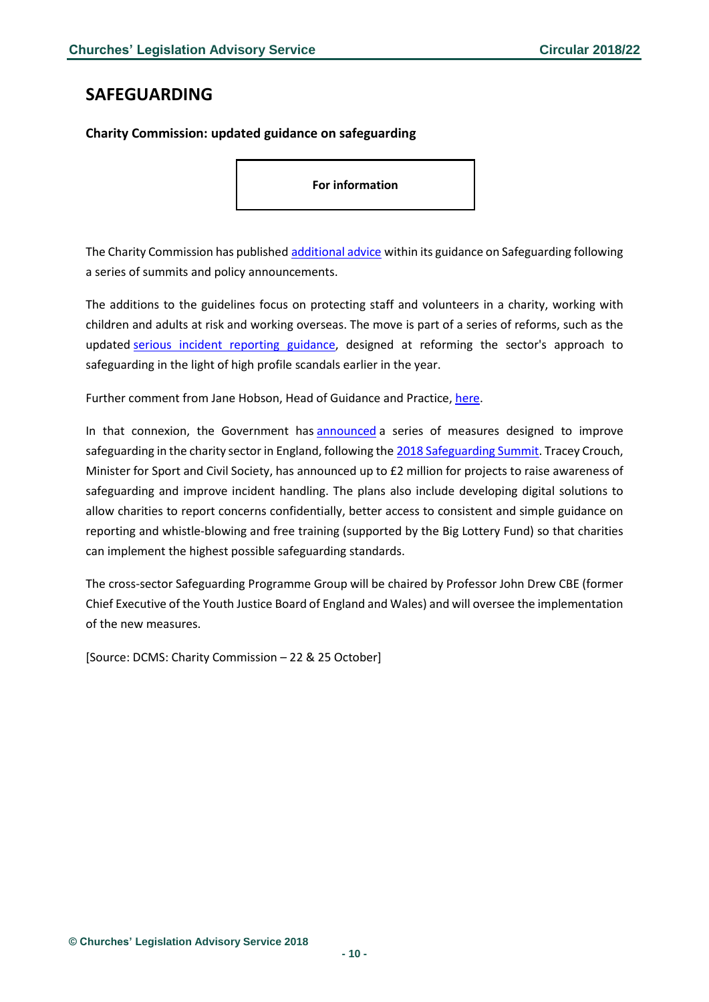# <span id="page-9-0"></span>**SAFEGUARDING**

<span id="page-9-1"></span>**Charity Commission: updated guidance on safeguarding**

**For information**

The Charity Commission has published [additional](https://www.gov.uk/guidance/safeguarding-duties-for-charity-trustees#history) advice within its guidance on Safeguarding following a series of summits and policy announcements.

The additions to the guidelines focus on protecting staff and volunteers in a charity, working with children and adults at risk and working overseas. The move is part of a series of reforms, such as the updated serious incident reporting [guidance,](https://www.gov.uk/guidance/how-to-report-a-serious-incident-in-your-charity#history) designed at reforming the sector's approach to safeguarding in the light of high profile scandals earlier in the year.

Further comment from Jane Hobson, Head of Guidance and Practice, [here.](https://charitycommission.blog.gov.uk/2018/10/25/theres-no-room-for-doubt-around-safeguarding-protecting-people-is-too-important/)

In that connexion, the Government has [announced](https://www.gov.uk/government/news/charities-safeguarding-measures-bolstered-through-new-dedicated-fund) a series of measures designed to improve safeguarding in the charity sector in England, following the 2018 [Safeguarding](https://www.gov.uk/government/publications/safeguarding-summit-2018-hosts-outcome-summary) Summit. Tracey Crouch, Minister for Sport and Civil Society, has announced up to £2 million for projects to raise awareness of safeguarding and improve incident handling. The plans also include developing digital solutions to allow charities to report concerns confidentially, better access to consistent and simple guidance on reporting and whistle-blowing and free training (supported by the Big Lottery Fund) so that charities can implement the highest possible safeguarding standards.

The cross-sector Safeguarding Programme Group will be chaired by Professor John Drew CBE (former Chief Executive of the Youth Justice Board of England and Wales) and will oversee the implementation of the new measures.

[Source: DCMS: Charity Commission – 22 & 25 October]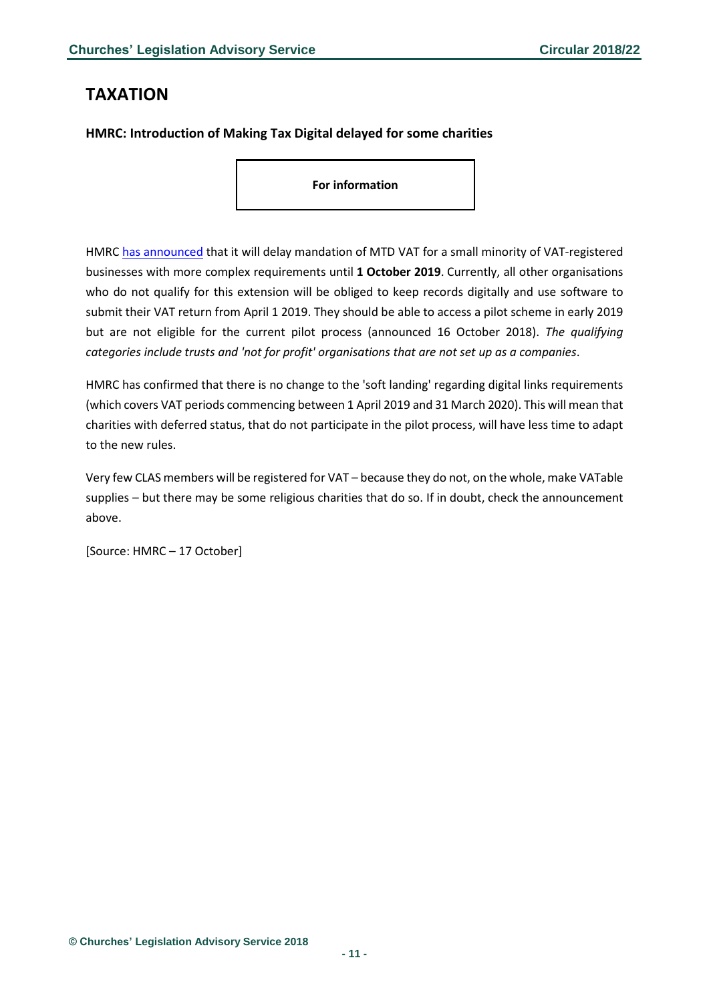# <span id="page-10-0"></span>**TAXATION**

### <span id="page-10-1"></span>**HMRC: Introduction of Making Tax Digital delayed for some charities**

**For information**

HMRC has [announced](https://www.gov.uk/government/publications/making-tax-digital/overview-of-making-tax-digital) that it will delay mandation of MTD VAT for a small minority of VAT-registered businesses with more complex requirements until **1 October 2019**. Currently, all other organisations who do not qualify for this extension will be obliged to keep records digitally and use software to submit their VAT return from April 1 2019. They should be able to access a pilot scheme in early 2019 but are not eligible for the current pilot process (announced 16 October 2018). *The qualifying categories include trusts and 'not for profit' organisations that are not set up as a companies*.

HMRC has confirmed that there is no change to the 'soft landing' regarding digital links requirements (which covers VAT periods commencing between 1 April 2019 and 31 March 2020). This will mean that charities with deferred status, that do not participate in the pilot process, will have less time to adapt to the new rules.

Very few CLAS members will be registered for VAT – because they do not, on the whole, make VATable supplies – but there may be some religious charities that do so. If in doubt, check the announcement above.

[Source: HMRC – 17 October]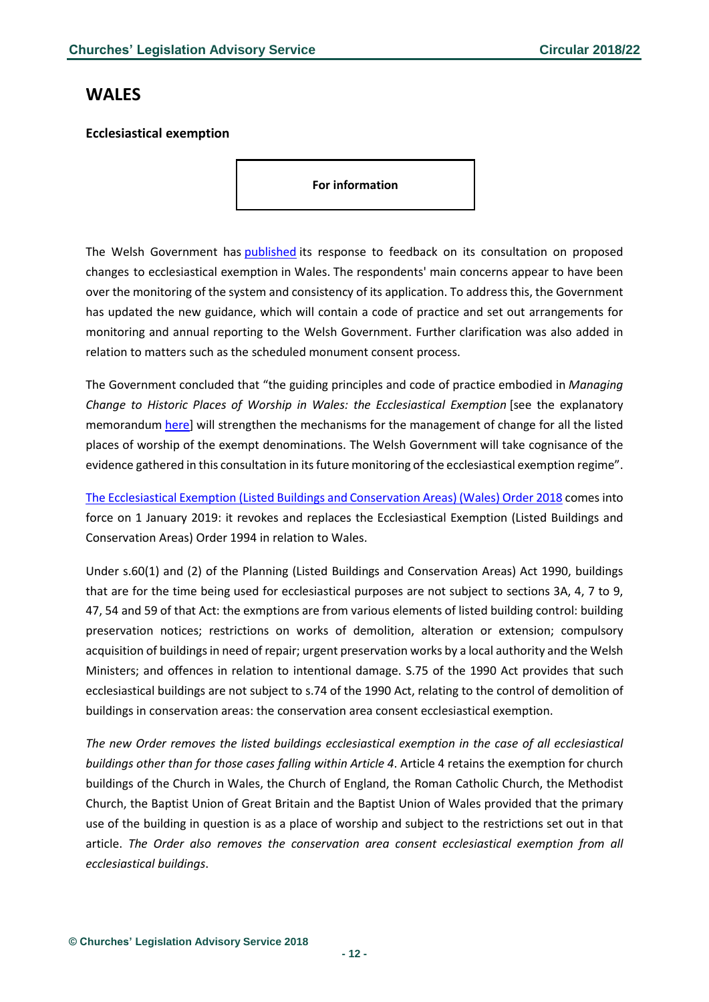### <span id="page-11-0"></span>**WALES**

### <span id="page-11-1"></span>**Ecclesiastical exemption**

**For information**

The Welsh Government has [published](https://beta.gov.wales/sites/default/files/consultations/2018-10/ecclesiastical-exemption-and-guidance-on-scheduled-monuments-summary-of-responses.pdf) its response to feedback on its consultation on proposed changes to ecclesiastical exemption in Wales. The respondents' main concerns appear to have been over the monitoring of the system and consistency of its application. To address this, the Government has updated the new guidance, which will contain a code of practice and set out arrangements for monitoring and annual reporting to the Welsh Government. Further clarification was also added in relation to matters such as the scheduled monument consent process.

The Government concluded that "the guiding principles and code of practice embodied in *Managing Change to Historic Places of Worship in Wales: the Ecclesiastical Exemption* [see the explanatory memorandum [here\]](http://www.senedd.assembly.wales/documents/s79860/EM%20SL5265%20-%20The%20Ecclesiastical%20Exemption%20Listed%20Buildings%20and%20Conservation%20Areas%20Wales%20Order%202.pdf) will strengthen the mechanisms for the management of change for all the listed places of worship of the exempt denominations. The Welsh Government will take cognisance of the evidence gathered in this consultation in its future monitoring of the ecclesiastical exemption regime".

The Ecclesiastical Exemption (Listed Buildings and [Conservation](https://www.legislation.gov.uk/wsi/2018/1087/pdfs/wsi_20181087_mi.pdf) Areas) (Wales) Order 2018 comes into force on 1 January 2019: it revokes and replaces the Ecclesiastical Exemption (Listed Buildings and Conservation Areas) Order 1994 in relation to Wales.

Under s.60(1) and (2) of the Planning (Listed Buildings and Conservation Areas) Act 1990, buildings that are for the time being used for ecclesiastical purposes are not subject to sections 3A, 4, 7 to 9, 47, 54 and 59 of that Act: the exmptions are from various elements of listed building control: building preservation notices; restrictions on works of demolition, alteration or extension; compulsory acquisition of buildingsin need of repair; urgent preservation works by a local authority and the Welsh Ministers; and offences in relation to intentional damage. S.75 of the 1990 Act provides that such ecclesiastical buildings are not subject to s.74 of the 1990 Act, relating to the control of demolition of buildings in conservation areas: the conservation area consent ecclesiastical exemption.

*The new Order removes the listed buildings ecclesiastical exemption in the case of all ecclesiastical buildings other than for those cases falling within Article 4*. Article 4 retains the exemption for church buildings of the Church in Wales, the Church of England, the Roman Catholic Church, the Methodist Church, the Baptist Union of Great Britain and the Baptist Union of Wales provided that the primary use of the building in question is as a place of worship and subject to the restrictions set out in that article. *The Order also removes the conservation area consent ecclesiastical exemption from all ecclesiastical buildings*.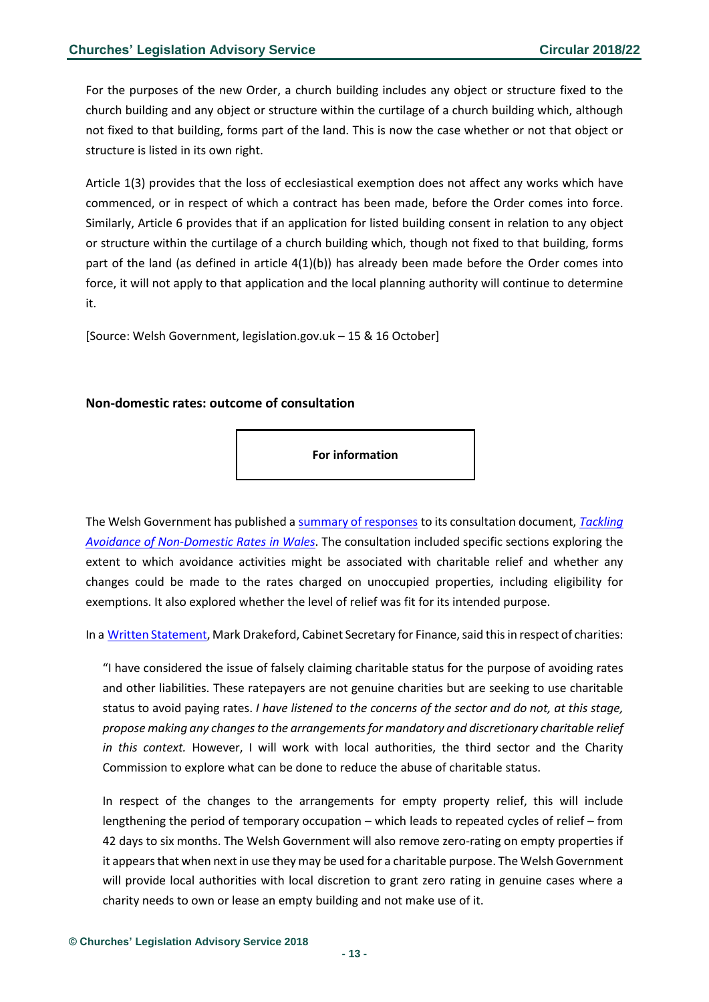For the purposes of the new Order, a church building includes any object or structure fixed to the church building and any object or structure within the curtilage of a church building which, although not fixed to that building, forms part of the land. This is now the case whether or not that object or structure is listed in its own right.

Article 1(3) provides that the loss of ecclesiastical exemption does not affect any works which have commenced, or in respect of which a contract has been made, before the Order comes into force. Similarly, Article 6 provides that if an application for listed building consent in relation to any object or structure within the curtilage of a church building which, though not fixed to that building, forms part of the land (as defined in article 4(1)(b)) has already been made before the Order comes into force, it will not apply to that application and the local planning authority will continue to determine it.

[Source: Welsh Government, legislation.gov.uk – 15 & 16 October]

### <span id="page-12-0"></span>**Non-domestic rates: outcome of consultation**



The Welsh Government has published a summary of [responses](https://beta.gov.wales/sites/default/files/consultations/2018-10/181015-non-domestic-rates-summary-en.pdf) to its consultation document, *[Tackling](https://beta.gov.wales/sites/default/files/consultations/2018-04/180403-tackling-non-domestic-rates.pdf) Avoidance of [Non-Domestic](https://beta.gov.wales/sites/default/files/consultations/2018-04/180403-tackling-non-domestic-rates.pdf) Rates in Wales*. The consultation included specific sections exploring the extent to which avoidance activities might be associated with charitable relief and whether any changes could be made to the rates charged on unoccupied properties, including eligibility for exemptions. It also explored whether the level of relief was fit for its intended purpose.

In a Written [Statement,](https://gov.wales/about/cabinet/cabinetstatements/2018/tacklingfraudandavoidancendrwales/?lang=en) Mark Drakeford, Cabinet Secretary for Finance, said this in respect of charities:

"I have considered the issue of falsely claiming charitable status for the purpose of avoiding rates and other liabilities. These ratepayers are not genuine charities but are seeking to use charitable status to avoid paying rates. *I have listened to the concerns of the sector and do not, at this stage, propose making any changesto the arrangementsfor mandatory and discretionary charitable relief in this context.* However, I will work with local authorities, the third sector and the Charity Commission to explore what can be done to reduce the abuse of charitable status.

In respect of the changes to the arrangements for empty property relief, this will include lengthening the period of temporary occupation – which leads to repeated cycles of relief – from 42 days to six months. The Welsh Government will also remove zero-rating on empty properties if it appears that when next in use they may be used for a charitable purpose. The Welsh Government will provide local authorities with local discretion to grant zero rating in genuine cases where a charity needs to own or lease an empty building and not make use of it.